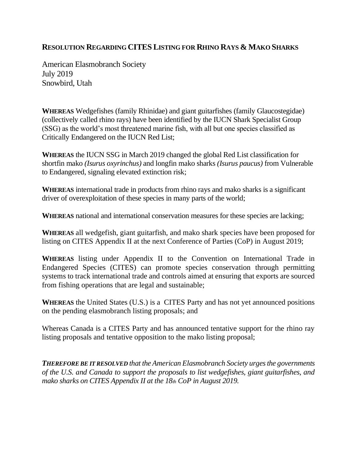## **RESOLUTION REGARDING CITES LISTING FOR RHINO RAYS & MAKO SHARKS**

American Elasmobranch Society July 2019 Snowbird, Utah

**WHEREAS** Wedgefishes (family Rhinidae) and giant guitarfishes (family Glaucostegidae) (collectively called rhino rays) have been identified by the IUCN Shark Specialist Group (SSG) as the world's most threatened marine fish, with all but one species classified as Critically Endangered on the IUCN Red List;

**WHEREAS** the IUCN SSG in March 2019 changed the global Red List classification for shortfin mako *(Isurus oxyrinchus)* and longfin mako sharks *(Isurus paucus)* from Vulnerable to Endangered, signaling elevated extinction risk;

**WHEREAS** international trade in products from rhino rays and mako sharks is a significant driver of overexploitation of these species in many parts of the world;

**WHEREAS** national and international conservation measures for these species are lacking;

**WHEREAS** all wedgefish, giant guitarfish, and mako shark species have been proposed for listing on CITES Appendix II at the next Conference of Parties (CoP) in August 2019;

**WHEREAS** listing under Appendix II to the Convention on International Trade in Endangered Species (CITES) can promote species conservation through permitting systems to track international trade and controls aimed at ensuring that exports are sourced from fishing operations that are legal and sustainable;

**WHEREAS** the United States (U.S.) is a CITES Party and has not yet announced positions on the pending elasmobranch listing proposals; and

Whereas Canada is a CITES Party and has announced tentative support for the rhino ray listing proposals and tentative opposition to the mako listing proposal;

*THEREFORE BE IT RESOLVED that the American Elasmobranch Society urges the governments of the U.S. and Canada to support the proposals to list wedgefishes, giant guitarfishes, and mako sharks on CITES Appendix II at the 18th CoP in August 2019.*